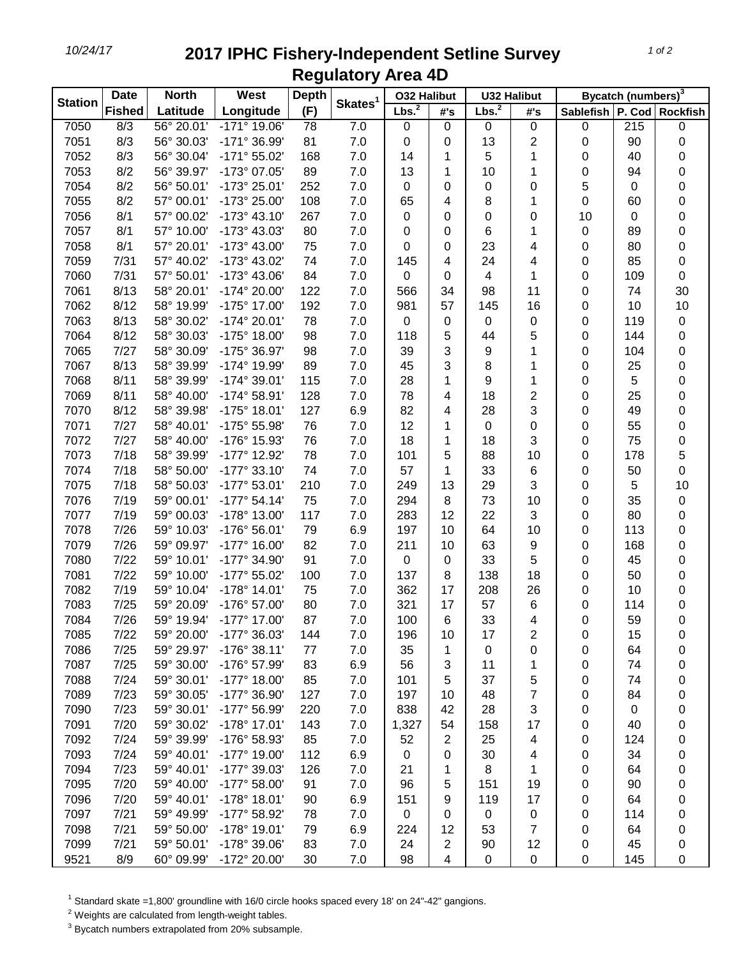## *10/24/17* **2017 IPHC Fishery-Independent Setline Survey Regulatory Area 4D**

| (F)<br>Longitude<br><b>Fished</b><br>Latitude<br>P. Cod Rockfish<br><b>Sablefish</b><br>#'s<br>#'s<br>56° 20.01'<br>$-171^{\circ}$ 19.06'<br>215<br>7050<br>8/3<br>7.0<br>$\pmb{0}$<br>0<br>$\pmb{0}$<br>$\pmb{0}$<br>$\pmb{0}$<br>78<br>0<br>8/3<br>7051<br>56° 30.03'<br>-171° 36.99'<br>81<br>7.0<br>13<br>2<br>90<br>$\pmb{0}$<br>0<br>0<br>0<br>7052<br>8/3<br>56° 30.04'<br>$-171^{\circ} 55.02'$<br>168<br>7.0<br>5<br>40<br>0<br>0<br>14<br>1<br>1<br>7053<br>8/2<br>56° 39.97'<br>-173° 07.05'<br>89<br>7.0<br>0<br>13<br>10<br>0<br>94<br>1<br>1<br>8/2<br>7054<br>56° 50.01'<br>-173° 25.01'<br>252<br>5<br>0<br>7.0<br>0<br>0<br>0<br>0<br>0<br>8/2<br>7055<br>57° 00.01'<br>-173° 25.00'<br>108<br>7.0<br>8<br>0<br>0<br>65<br>1<br>60<br>4<br>8/1<br>7056<br>57° 00.02'<br>$-173°$ 43.10'<br>267<br>10<br>0<br>7.0<br>0<br>0<br>0<br>0<br>0<br>7057<br>8/1<br>57° 10.00'<br>-173° 43.03'<br>80<br>7.0<br>6<br>0<br>0<br>1<br>89<br>0<br>0<br>7058<br>8/1<br>57° 20.01'<br>-173° 43.00'<br>75<br>0<br>23<br>0<br>0<br>7.0<br>4<br>80<br>0<br>0<br>7059<br>7/31<br>57° 40.02'<br>-173° 43.02'<br>74<br>7.0<br>24<br>4<br>0<br>85<br>145<br>4<br>$\mathbf 0$<br>7060<br>7/31<br>57° 50.01'<br>-173° 43.06'<br>84<br>7.0<br>0<br>4<br>1<br>0<br>109<br>0<br>8/13<br>122<br>7061<br>58° 20.01'<br>-174° 20.00'<br>7.0<br>34<br>98<br>11<br>0<br>74<br>30<br>566<br>8/12<br>7062<br>58° 19.99'<br>-175° 17.00'<br>192<br>981<br>57<br>145<br>16<br>10<br>10<br>7.0<br>0<br>8/13<br>7063<br>58° 30.02'<br>$-174^{\circ} 20.01'$<br>78<br>0<br>119<br>7.0<br>0<br>0<br>0<br>0<br>$\pmb{0}$<br>7064<br>8/12<br>58° 30.03'<br>$-175^{\circ}$ 18.00'<br>98<br>118<br>5<br>5<br>144<br>0<br>7.0<br>44<br>0<br>7/27<br>7065<br>58° 30.09'<br>-175° 36.97'<br>98<br>7.0<br>3<br>104<br>0<br>39<br>9<br>1<br>0<br>8/13<br>7067<br>-174° 19.99'<br>89<br>7.0<br>3<br>25<br>0<br>58° 39.99'<br>45<br>8<br>0<br>1<br>7068<br>8/11<br>58° 39.99'<br>$-174^{\circ} 39.01'$<br>115<br>7.0<br>28<br>9<br>5<br>0<br>1<br>0<br>1<br>7069<br>8/11<br>58° 40.00'<br>$-174^{\circ} 58.91'$<br>128<br>7.0<br>78<br>18<br>2<br>0<br>25<br>0<br>4<br>7070<br>8/12<br>58° 39.98'<br>$-175^{\circ}$ 18.01'<br>127<br>82<br>3<br>49<br>0<br>6.9<br>28<br>0<br>4<br>7071<br>7/27<br>58° 40.01'<br>-175° 55.98'<br>76<br>12<br>55<br>0<br>7.0<br>1<br>0<br>0<br>0<br>7/27<br>7072<br>58° 40.00'<br>-176° 15.93'<br>76<br>7.0<br>18<br>18<br>3<br>75<br>0<br>1<br>0<br>7/18<br>$-177^{\circ}$ 12.92'<br>78<br>5<br>7073<br>58° 39.99'<br>7.0<br>101<br>5<br>88<br>0<br>178<br>10<br>7/18<br>$-177°33.10'$<br>74<br>0<br>7074<br>58° 50.00'<br>7.0<br>57<br>33<br>0<br>50<br>1<br>6<br>3<br>7075<br>7/18<br>58° 50.03'<br>$-177^{\circ}$ 53.01'<br>210<br>7.0<br>13<br>0<br>5<br>10<br>249<br>29<br>$-177°54.14'$<br>75<br>7076<br>7/19<br>59° 00.01'<br>7.0<br>294<br>8<br>73<br>10<br>0<br>35<br>$\pmb{0}$<br>7077<br>7/19<br>59° 00.03'<br>-178° 13.00'<br>117<br>7.0<br>283<br>12<br>22<br>3<br>0<br>80<br>0<br>113<br>7078<br>7/26<br>59° 10.03'<br>$-176°56.01'$<br>79<br>6.9<br>197<br>10<br>64<br>10<br>0<br>0<br>7079<br>7/26<br>59° 09.97'<br>$-177^{\circ}$ 16.00'<br>82<br>7.0<br>211<br>10<br>63<br>9<br>0<br>168<br>0<br>7/22<br>$-177^{\circ}$ 34.90'<br>91<br>5<br>7080<br>59° 10.01'<br>0<br>33<br>45<br>0<br>7.0<br>0<br>0<br>7081<br>7/22<br>59° 10.00'<br>-177° 55.02'<br>100<br>137<br>138<br>18<br>50<br>0<br>7.0<br>8<br>0<br>7082<br>7/19<br>59° 10.04'<br>$-178°$ 14.01'<br>75<br>362<br>17<br>208<br>26<br>10<br>0<br>7.0<br>0<br>7083<br>7/25<br>59° 20.09'<br>-176° 57.00'<br>80<br>321<br>17<br>57<br>114<br>0<br>7.0<br>6<br>0<br>7084<br>7/26<br>-177° 17.00'<br>87<br>7.0<br>100<br>6<br>33<br>0<br>59<br>0<br>59° 19.94'<br>4<br>7085<br>7/22<br>59° 20.00'<br>-177° 36.03'<br>144<br>7.0<br>10<br>17<br>2<br>0<br>15<br>196<br>0<br>7086<br>7/25<br>59° 29.97'<br>$-176°38.11'$<br>77<br>7.0<br>35<br>1<br>0<br>64<br>0<br>0<br>0<br>7087<br>7/25<br>59° 30.00'<br>-176° 57.99'<br>83<br>74<br>6.9<br>56<br>3<br>0<br>11<br>0<br>1<br>7088<br>7/24<br>59° 30.01'<br>$-177^{\circ}$ 18.00'<br>85<br>7.0<br>101<br>5<br>37<br>5<br>74<br>0<br>0<br>7089<br>7/23<br>59° 30.05'<br>-177° 36.90'<br>127<br>7.0<br>7<br>197<br>48<br>0<br>84<br>0<br>10<br>7/23<br>7090<br>59° 30.01'<br>-177° 56.99'<br>220<br>7.0<br>838<br>28<br>3<br>42<br>0<br>0<br>0<br>7091<br>7/20<br>59° 30.02'<br>$-178°$ 17.01'<br>143<br>7.0<br>1,327<br>54<br>158<br>17<br>0<br>40<br>0<br>7092<br>7/24<br>59° 39.99'<br>-176° 58.93'<br>85<br>7.0<br>$\overline{2}$<br>25<br>52<br>0<br>124<br>0<br>4<br>7093<br>7/24<br>59° 40.01'<br>$-177^{\circ}$ 19.00'<br>112<br>6.9<br>34<br>0<br>0<br>30<br>4<br>0<br>0<br>7094<br>7/23<br>59° 40.01'<br>-177° 39.03'<br>126<br>7.0<br>21<br>8<br>0<br>0<br>1<br>1<br>64<br>7095<br>7/20<br>59° 40.00'<br>$-177^{\circ} 58.00'$<br>91<br>7.0<br>151<br>90<br>0<br>96<br>5<br>19<br>0 | <b>Station</b> | <b>Date</b> | <b>North</b> | West | <b>Depth</b> | Skates <sup>1</sup> | <b>O32 Halibut</b> |  | <b>U32 Halibut</b> |  | Bycatch (numbers) <sup>3</sup> |  |  |
|-----------------------------------------------------------------------------------------------------------------------------------------------------------------------------------------------------------------------------------------------------------------------------------------------------------------------------------------------------------------------------------------------------------------------------------------------------------------------------------------------------------------------------------------------------------------------------------------------------------------------------------------------------------------------------------------------------------------------------------------------------------------------------------------------------------------------------------------------------------------------------------------------------------------------------------------------------------------------------------------------------------------------------------------------------------------------------------------------------------------------------------------------------------------------------------------------------------------------------------------------------------------------------------------------------------------------------------------------------------------------------------------------------------------------------------------------------------------------------------------------------------------------------------------------------------------------------------------------------------------------------------------------------------------------------------------------------------------------------------------------------------------------------------------------------------------------------------------------------------------------------------------------------------------------------------------------------------------------------------------------------------------------------------------------------------------------------------------------------------------------------------------------------------------------------------------------------------------------------------------------------------------------------------------------------------------------------------------------------------------------------------------------------------------------------------------------------------------------------------------------------------------------------------------------------------------------------------------------------------------------------------------------------------------------------------------------------------------------------------------------------------------------------------------------------------------------------------------------------------------------------------------------------------------------------------------------------------------------------------------------------------------------------------------------------------------------------------------------------------------------------------------------------------------------------------------------------------------------------------------------------------------------------------------------------------------------------------------------------------------------------------------------------------------------------------------------------------------------------------------------------------------------------------------------------------------------------------------------------------------------------------------------------------------------------------------------------------------------------------------------------------------------------------------------------------------------------------------------------------------------------------------------------------------------------------------------------------------------------------------------------------------------------------------------------------------------------------------------------------------------------------------------------------------------------------------------------------------------------------------------------------------------------------------------------------------------------------------------------------------------------------------------------------------------------------------------------------------------------------------------------------------------------------------------------------------------------------------------------------------------------------------------------------------------------------------------------------------------------------------------------------------------------------------------------------------------------------------------------------------------------------------------------------------|----------------|-------------|--------------|------|--------------|---------------------|--------------------|--|--------------------|--|--------------------------------|--|--|
|                                                                                                                                                                                                                                                                                                                                                                                                                                                                                                                                                                                                                                                                                                                                                                                                                                                                                                                                                                                                                                                                                                                                                                                                                                                                                                                                                                                                                                                                                                                                                                                                                                                                                                                                                                                                                                                                                                                                                                                                                                                                                                                                                                                                                                                                                                                                                                                                                                                                                                                                                                                                                                                                                                                                                                                                                                                                                                                                                                                                                                                                                                                                                                                                                                                                                                                                                                                                                                                                                                                                                                                                                                                                                                                                                                                                                                                                                                                                                                                                                                                                                                                                                                                                                                                                                                                                                                                                                                                                                                                                                                                                                                                                                                                                                                                                                                                                                                                 |                |             |              |      |              |                     | Lbs. <sup>2</sup>  |  | Lbs. <sup>2</sup>  |  |                                |  |  |
|                                                                                                                                                                                                                                                                                                                                                                                                                                                                                                                                                                                                                                                                                                                                                                                                                                                                                                                                                                                                                                                                                                                                                                                                                                                                                                                                                                                                                                                                                                                                                                                                                                                                                                                                                                                                                                                                                                                                                                                                                                                                                                                                                                                                                                                                                                                                                                                                                                                                                                                                                                                                                                                                                                                                                                                                                                                                                                                                                                                                                                                                                                                                                                                                                                                                                                                                                                                                                                                                                                                                                                                                                                                                                                                                                                                                                                                                                                                                                                                                                                                                                                                                                                                                                                                                                                                                                                                                                                                                                                                                                                                                                                                                                                                                                                                                                                                                                                                 |                |             |              |      |              |                     |                    |  |                    |  |                                |  |  |
|                                                                                                                                                                                                                                                                                                                                                                                                                                                                                                                                                                                                                                                                                                                                                                                                                                                                                                                                                                                                                                                                                                                                                                                                                                                                                                                                                                                                                                                                                                                                                                                                                                                                                                                                                                                                                                                                                                                                                                                                                                                                                                                                                                                                                                                                                                                                                                                                                                                                                                                                                                                                                                                                                                                                                                                                                                                                                                                                                                                                                                                                                                                                                                                                                                                                                                                                                                                                                                                                                                                                                                                                                                                                                                                                                                                                                                                                                                                                                                                                                                                                                                                                                                                                                                                                                                                                                                                                                                                                                                                                                                                                                                                                                                                                                                                                                                                                                                                 |                |             |              |      |              |                     |                    |  |                    |  |                                |  |  |
|                                                                                                                                                                                                                                                                                                                                                                                                                                                                                                                                                                                                                                                                                                                                                                                                                                                                                                                                                                                                                                                                                                                                                                                                                                                                                                                                                                                                                                                                                                                                                                                                                                                                                                                                                                                                                                                                                                                                                                                                                                                                                                                                                                                                                                                                                                                                                                                                                                                                                                                                                                                                                                                                                                                                                                                                                                                                                                                                                                                                                                                                                                                                                                                                                                                                                                                                                                                                                                                                                                                                                                                                                                                                                                                                                                                                                                                                                                                                                                                                                                                                                                                                                                                                                                                                                                                                                                                                                                                                                                                                                                                                                                                                                                                                                                                                                                                                                                                 |                |             |              |      |              |                     |                    |  |                    |  |                                |  |  |
|                                                                                                                                                                                                                                                                                                                                                                                                                                                                                                                                                                                                                                                                                                                                                                                                                                                                                                                                                                                                                                                                                                                                                                                                                                                                                                                                                                                                                                                                                                                                                                                                                                                                                                                                                                                                                                                                                                                                                                                                                                                                                                                                                                                                                                                                                                                                                                                                                                                                                                                                                                                                                                                                                                                                                                                                                                                                                                                                                                                                                                                                                                                                                                                                                                                                                                                                                                                                                                                                                                                                                                                                                                                                                                                                                                                                                                                                                                                                                                                                                                                                                                                                                                                                                                                                                                                                                                                                                                                                                                                                                                                                                                                                                                                                                                                                                                                                                                                 |                |             |              |      |              |                     |                    |  |                    |  |                                |  |  |
|                                                                                                                                                                                                                                                                                                                                                                                                                                                                                                                                                                                                                                                                                                                                                                                                                                                                                                                                                                                                                                                                                                                                                                                                                                                                                                                                                                                                                                                                                                                                                                                                                                                                                                                                                                                                                                                                                                                                                                                                                                                                                                                                                                                                                                                                                                                                                                                                                                                                                                                                                                                                                                                                                                                                                                                                                                                                                                                                                                                                                                                                                                                                                                                                                                                                                                                                                                                                                                                                                                                                                                                                                                                                                                                                                                                                                                                                                                                                                                                                                                                                                                                                                                                                                                                                                                                                                                                                                                                                                                                                                                                                                                                                                                                                                                                                                                                                                                                 |                |             |              |      |              |                     |                    |  |                    |  |                                |  |  |
|                                                                                                                                                                                                                                                                                                                                                                                                                                                                                                                                                                                                                                                                                                                                                                                                                                                                                                                                                                                                                                                                                                                                                                                                                                                                                                                                                                                                                                                                                                                                                                                                                                                                                                                                                                                                                                                                                                                                                                                                                                                                                                                                                                                                                                                                                                                                                                                                                                                                                                                                                                                                                                                                                                                                                                                                                                                                                                                                                                                                                                                                                                                                                                                                                                                                                                                                                                                                                                                                                                                                                                                                                                                                                                                                                                                                                                                                                                                                                                                                                                                                                                                                                                                                                                                                                                                                                                                                                                                                                                                                                                                                                                                                                                                                                                                                                                                                                                                 |                |             |              |      |              |                     |                    |  |                    |  |                                |  |  |
|                                                                                                                                                                                                                                                                                                                                                                                                                                                                                                                                                                                                                                                                                                                                                                                                                                                                                                                                                                                                                                                                                                                                                                                                                                                                                                                                                                                                                                                                                                                                                                                                                                                                                                                                                                                                                                                                                                                                                                                                                                                                                                                                                                                                                                                                                                                                                                                                                                                                                                                                                                                                                                                                                                                                                                                                                                                                                                                                                                                                                                                                                                                                                                                                                                                                                                                                                                                                                                                                                                                                                                                                                                                                                                                                                                                                                                                                                                                                                                                                                                                                                                                                                                                                                                                                                                                                                                                                                                                                                                                                                                                                                                                                                                                                                                                                                                                                                                                 |                |             |              |      |              |                     |                    |  |                    |  |                                |  |  |
|                                                                                                                                                                                                                                                                                                                                                                                                                                                                                                                                                                                                                                                                                                                                                                                                                                                                                                                                                                                                                                                                                                                                                                                                                                                                                                                                                                                                                                                                                                                                                                                                                                                                                                                                                                                                                                                                                                                                                                                                                                                                                                                                                                                                                                                                                                                                                                                                                                                                                                                                                                                                                                                                                                                                                                                                                                                                                                                                                                                                                                                                                                                                                                                                                                                                                                                                                                                                                                                                                                                                                                                                                                                                                                                                                                                                                                                                                                                                                                                                                                                                                                                                                                                                                                                                                                                                                                                                                                                                                                                                                                                                                                                                                                                                                                                                                                                                                                                 |                |             |              |      |              |                     |                    |  |                    |  |                                |  |  |
|                                                                                                                                                                                                                                                                                                                                                                                                                                                                                                                                                                                                                                                                                                                                                                                                                                                                                                                                                                                                                                                                                                                                                                                                                                                                                                                                                                                                                                                                                                                                                                                                                                                                                                                                                                                                                                                                                                                                                                                                                                                                                                                                                                                                                                                                                                                                                                                                                                                                                                                                                                                                                                                                                                                                                                                                                                                                                                                                                                                                                                                                                                                                                                                                                                                                                                                                                                                                                                                                                                                                                                                                                                                                                                                                                                                                                                                                                                                                                                                                                                                                                                                                                                                                                                                                                                                                                                                                                                                                                                                                                                                                                                                                                                                                                                                                                                                                                                                 |                |             |              |      |              |                     |                    |  |                    |  |                                |  |  |
|                                                                                                                                                                                                                                                                                                                                                                                                                                                                                                                                                                                                                                                                                                                                                                                                                                                                                                                                                                                                                                                                                                                                                                                                                                                                                                                                                                                                                                                                                                                                                                                                                                                                                                                                                                                                                                                                                                                                                                                                                                                                                                                                                                                                                                                                                                                                                                                                                                                                                                                                                                                                                                                                                                                                                                                                                                                                                                                                                                                                                                                                                                                                                                                                                                                                                                                                                                                                                                                                                                                                                                                                                                                                                                                                                                                                                                                                                                                                                                                                                                                                                                                                                                                                                                                                                                                                                                                                                                                                                                                                                                                                                                                                                                                                                                                                                                                                                                                 |                |             |              |      |              |                     |                    |  |                    |  |                                |  |  |
|                                                                                                                                                                                                                                                                                                                                                                                                                                                                                                                                                                                                                                                                                                                                                                                                                                                                                                                                                                                                                                                                                                                                                                                                                                                                                                                                                                                                                                                                                                                                                                                                                                                                                                                                                                                                                                                                                                                                                                                                                                                                                                                                                                                                                                                                                                                                                                                                                                                                                                                                                                                                                                                                                                                                                                                                                                                                                                                                                                                                                                                                                                                                                                                                                                                                                                                                                                                                                                                                                                                                                                                                                                                                                                                                                                                                                                                                                                                                                                                                                                                                                                                                                                                                                                                                                                                                                                                                                                                                                                                                                                                                                                                                                                                                                                                                                                                                                                                 |                |             |              |      |              |                     |                    |  |                    |  |                                |  |  |
|                                                                                                                                                                                                                                                                                                                                                                                                                                                                                                                                                                                                                                                                                                                                                                                                                                                                                                                                                                                                                                                                                                                                                                                                                                                                                                                                                                                                                                                                                                                                                                                                                                                                                                                                                                                                                                                                                                                                                                                                                                                                                                                                                                                                                                                                                                                                                                                                                                                                                                                                                                                                                                                                                                                                                                                                                                                                                                                                                                                                                                                                                                                                                                                                                                                                                                                                                                                                                                                                                                                                                                                                                                                                                                                                                                                                                                                                                                                                                                                                                                                                                                                                                                                                                                                                                                                                                                                                                                                                                                                                                                                                                                                                                                                                                                                                                                                                                                                 |                |             |              |      |              |                     |                    |  |                    |  |                                |  |  |
|                                                                                                                                                                                                                                                                                                                                                                                                                                                                                                                                                                                                                                                                                                                                                                                                                                                                                                                                                                                                                                                                                                                                                                                                                                                                                                                                                                                                                                                                                                                                                                                                                                                                                                                                                                                                                                                                                                                                                                                                                                                                                                                                                                                                                                                                                                                                                                                                                                                                                                                                                                                                                                                                                                                                                                                                                                                                                                                                                                                                                                                                                                                                                                                                                                                                                                                                                                                                                                                                                                                                                                                                                                                                                                                                                                                                                                                                                                                                                                                                                                                                                                                                                                                                                                                                                                                                                                                                                                                                                                                                                                                                                                                                                                                                                                                                                                                                                                                 |                |             |              |      |              |                     |                    |  |                    |  |                                |  |  |
|                                                                                                                                                                                                                                                                                                                                                                                                                                                                                                                                                                                                                                                                                                                                                                                                                                                                                                                                                                                                                                                                                                                                                                                                                                                                                                                                                                                                                                                                                                                                                                                                                                                                                                                                                                                                                                                                                                                                                                                                                                                                                                                                                                                                                                                                                                                                                                                                                                                                                                                                                                                                                                                                                                                                                                                                                                                                                                                                                                                                                                                                                                                                                                                                                                                                                                                                                                                                                                                                                                                                                                                                                                                                                                                                                                                                                                                                                                                                                                                                                                                                                                                                                                                                                                                                                                                                                                                                                                                                                                                                                                                                                                                                                                                                                                                                                                                                                                                 |                |             |              |      |              |                     |                    |  |                    |  |                                |  |  |
|                                                                                                                                                                                                                                                                                                                                                                                                                                                                                                                                                                                                                                                                                                                                                                                                                                                                                                                                                                                                                                                                                                                                                                                                                                                                                                                                                                                                                                                                                                                                                                                                                                                                                                                                                                                                                                                                                                                                                                                                                                                                                                                                                                                                                                                                                                                                                                                                                                                                                                                                                                                                                                                                                                                                                                                                                                                                                                                                                                                                                                                                                                                                                                                                                                                                                                                                                                                                                                                                                                                                                                                                                                                                                                                                                                                                                                                                                                                                                                                                                                                                                                                                                                                                                                                                                                                                                                                                                                                                                                                                                                                                                                                                                                                                                                                                                                                                                                                 |                |             |              |      |              |                     |                    |  |                    |  |                                |  |  |
|                                                                                                                                                                                                                                                                                                                                                                                                                                                                                                                                                                                                                                                                                                                                                                                                                                                                                                                                                                                                                                                                                                                                                                                                                                                                                                                                                                                                                                                                                                                                                                                                                                                                                                                                                                                                                                                                                                                                                                                                                                                                                                                                                                                                                                                                                                                                                                                                                                                                                                                                                                                                                                                                                                                                                                                                                                                                                                                                                                                                                                                                                                                                                                                                                                                                                                                                                                                                                                                                                                                                                                                                                                                                                                                                                                                                                                                                                                                                                                                                                                                                                                                                                                                                                                                                                                                                                                                                                                                                                                                                                                                                                                                                                                                                                                                                                                                                                                                 |                |             |              |      |              |                     |                    |  |                    |  |                                |  |  |
|                                                                                                                                                                                                                                                                                                                                                                                                                                                                                                                                                                                                                                                                                                                                                                                                                                                                                                                                                                                                                                                                                                                                                                                                                                                                                                                                                                                                                                                                                                                                                                                                                                                                                                                                                                                                                                                                                                                                                                                                                                                                                                                                                                                                                                                                                                                                                                                                                                                                                                                                                                                                                                                                                                                                                                                                                                                                                                                                                                                                                                                                                                                                                                                                                                                                                                                                                                                                                                                                                                                                                                                                                                                                                                                                                                                                                                                                                                                                                                                                                                                                                                                                                                                                                                                                                                                                                                                                                                                                                                                                                                                                                                                                                                                                                                                                                                                                                                                 |                |             |              |      |              |                     |                    |  |                    |  |                                |  |  |
|                                                                                                                                                                                                                                                                                                                                                                                                                                                                                                                                                                                                                                                                                                                                                                                                                                                                                                                                                                                                                                                                                                                                                                                                                                                                                                                                                                                                                                                                                                                                                                                                                                                                                                                                                                                                                                                                                                                                                                                                                                                                                                                                                                                                                                                                                                                                                                                                                                                                                                                                                                                                                                                                                                                                                                                                                                                                                                                                                                                                                                                                                                                                                                                                                                                                                                                                                                                                                                                                                                                                                                                                                                                                                                                                                                                                                                                                                                                                                                                                                                                                                                                                                                                                                                                                                                                                                                                                                                                                                                                                                                                                                                                                                                                                                                                                                                                                                                                 |                |             |              |      |              |                     |                    |  |                    |  |                                |  |  |
|                                                                                                                                                                                                                                                                                                                                                                                                                                                                                                                                                                                                                                                                                                                                                                                                                                                                                                                                                                                                                                                                                                                                                                                                                                                                                                                                                                                                                                                                                                                                                                                                                                                                                                                                                                                                                                                                                                                                                                                                                                                                                                                                                                                                                                                                                                                                                                                                                                                                                                                                                                                                                                                                                                                                                                                                                                                                                                                                                                                                                                                                                                                                                                                                                                                                                                                                                                                                                                                                                                                                                                                                                                                                                                                                                                                                                                                                                                                                                                                                                                                                                                                                                                                                                                                                                                                                                                                                                                                                                                                                                                                                                                                                                                                                                                                                                                                                                                                 |                |             |              |      |              |                     |                    |  |                    |  |                                |  |  |
|                                                                                                                                                                                                                                                                                                                                                                                                                                                                                                                                                                                                                                                                                                                                                                                                                                                                                                                                                                                                                                                                                                                                                                                                                                                                                                                                                                                                                                                                                                                                                                                                                                                                                                                                                                                                                                                                                                                                                                                                                                                                                                                                                                                                                                                                                                                                                                                                                                                                                                                                                                                                                                                                                                                                                                                                                                                                                                                                                                                                                                                                                                                                                                                                                                                                                                                                                                                                                                                                                                                                                                                                                                                                                                                                                                                                                                                                                                                                                                                                                                                                                                                                                                                                                                                                                                                                                                                                                                                                                                                                                                                                                                                                                                                                                                                                                                                                                                                 |                |             |              |      |              |                     |                    |  |                    |  |                                |  |  |
|                                                                                                                                                                                                                                                                                                                                                                                                                                                                                                                                                                                                                                                                                                                                                                                                                                                                                                                                                                                                                                                                                                                                                                                                                                                                                                                                                                                                                                                                                                                                                                                                                                                                                                                                                                                                                                                                                                                                                                                                                                                                                                                                                                                                                                                                                                                                                                                                                                                                                                                                                                                                                                                                                                                                                                                                                                                                                                                                                                                                                                                                                                                                                                                                                                                                                                                                                                                                                                                                                                                                                                                                                                                                                                                                                                                                                                                                                                                                                                                                                                                                                                                                                                                                                                                                                                                                                                                                                                                                                                                                                                                                                                                                                                                                                                                                                                                                                                                 |                |             |              |      |              |                     |                    |  |                    |  |                                |  |  |
|                                                                                                                                                                                                                                                                                                                                                                                                                                                                                                                                                                                                                                                                                                                                                                                                                                                                                                                                                                                                                                                                                                                                                                                                                                                                                                                                                                                                                                                                                                                                                                                                                                                                                                                                                                                                                                                                                                                                                                                                                                                                                                                                                                                                                                                                                                                                                                                                                                                                                                                                                                                                                                                                                                                                                                                                                                                                                                                                                                                                                                                                                                                                                                                                                                                                                                                                                                                                                                                                                                                                                                                                                                                                                                                                                                                                                                                                                                                                                                                                                                                                                                                                                                                                                                                                                                                                                                                                                                                                                                                                                                                                                                                                                                                                                                                                                                                                                                                 |                |             |              |      |              |                     |                    |  |                    |  |                                |  |  |
|                                                                                                                                                                                                                                                                                                                                                                                                                                                                                                                                                                                                                                                                                                                                                                                                                                                                                                                                                                                                                                                                                                                                                                                                                                                                                                                                                                                                                                                                                                                                                                                                                                                                                                                                                                                                                                                                                                                                                                                                                                                                                                                                                                                                                                                                                                                                                                                                                                                                                                                                                                                                                                                                                                                                                                                                                                                                                                                                                                                                                                                                                                                                                                                                                                                                                                                                                                                                                                                                                                                                                                                                                                                                                                                                                                                                                                                                                                                                                                                                                                                                                                                                                                                                                                                                                                                                                                                                                                                                                                                                                                                                                                                                                                                                                                                                                                                                                                                 |                |             |              |      |              |                     |                    |  |                    |  |                                |  |  |
|                                                                                                                                                                                                                                                                                                                                                                                                                                                                                                                                                                                                                                                                                                                                                                                                                                                                                                                                                                                                                                                                                                                                                                                                                                                                                                                                                                                                                                                                                                                                                                                                                                                                                                                                                                                                                                                                                                                                                                                                                                                                                                                                                                                                                                                                                                                                                                                                                                                                                                                                                                                                                                                                                                                                                                                                                                                                                                                                                                                                                                                                                                                                                                                                                                                                                                                                                                                                                                                                                                                                                                                                                                                                                                                                                                                                                                                                                                                                                                                                                                                                                                                                                                                                                                                                                                                                                                                                                                                                                                                                                                                                                                                                                                                                                                                                                                                                                                                 |                |             |              |      |              |                     |                    |  |                    |  |                                |  |  |
|                                                                                                                                                                                                                                                                                                                                                                                                                                                                                                                                                                                                                                                                                                                                                                                                                                                                                                                                                                                                                                                                                                                                                                                                                                                                                                                                                                                                                                                                                                                                                                                                                                                                                                                                                                                                                                                                                                                                                                                                                                                                                                                                                                                                                                                                                                                                                                                                                                                                                                                                                                                                                                                                                                                                                                                                                                                                                                                                                                                                                                                                                                                                                                                                                                                                                                                                                                                                                                                                                                                                                                                                                                                                                                                                                                                                                                                                                                                                                                                                                                                                                                                                                                                                                                                                                                                                                                                                                                                                                                                                                                                                                                                                                                                                                                                                                                                                                                                 |                |             |              |      |              |                     |                    |  |                    |  |                                |  |  |
|                                                                                                                                                                                                                                                                                                                                                                                                                                                                                                                                                                                                                                                                                                                                                                                                                                                                                                                                                                                                                                                                                                                                                                                                                                                                                                                                                                                                                                                                                                                                                                                                                                                                                                                                                                                                                                                                                                                                                                                                                                                                                                                                                                                                                                                                                                                                                                                                                                                                                                                                                                                                                                                                                                                                                                                                                                                                                                                                                                                                                                                                                                                                                                                                                                                                                                                                                                                                                                                                                                                                                                                                                                                                                                                                                                                                                                                                                                                                                                                                                                                                                                                                                                                                                                                                                                                                                                                                                                                                                                                                                                                                                                                                                                                                                                                                                                                                                                                 |                |             |              |      |              |                     |                    |  |                    |  |                                |  |  |
|                                                                                                                                                                                                                                                                                                                                                                                                                                                                                                                                                                                                                                                                                                                                                                                                                                                                                                                                                                                                                                                                                                                                                                                                                                                                                                                                                                                                                                                                                                                                                                                                                                                                                                                                                                                                                                                                                                                                                                                                                                                                                                                                                                                                                                                                                                                                                                                                                                                                                                                                                                                                                                                                                                                                                                                                                                                                                                                                                                                                                                                                                                                                                                                                                                                                                                                                                                                                                                                                                                                                                                                                                                                                                                                                                                                                                                                                                                                                                                                                                                                                                                                                                                                                                                                                                                                                                                                                                                                                                                                                                                                                                                                                                                                                                                                                                                                                                                                 |                |             |              |      |              |                     |                    |  |                    |  |                                |  |  |
|                                                                                                                                                                                                                                                                                                                                                                                                                                                                                                                                                                                                                                                                                                                                                                                                                                                                                                                                                                                                                                                                                                                                                                                                                                                                                                                                                                                                                                                                                                                                                                                                                                                                                                                                                                                                                                                                                                                                                                                                                                                                                                                                                                                                                                                                                                                                                                                                                                                                                                                                                                                                                                                                                                                                                                                                                                                                                                                                                                                                                                                                                                                                                                                                                                                                                                                                                                                                                                                                                                                                                                                                                                                                                                                                                                                                                                                                                                                                                                                                                                                                                                                                                                                                                                                                                                                                                                                                                                                                                                                                                                                                                                                                                                                                                                                                                                                                                                                 |                |             |              |      |              |                     |                    |  |                    |  |                                |  |  |
|                                                                                                                                                                                                                                                                                                                                                                                                                                                                                                                                                                                                                                                                                                                                                                                                                                                                                                                                                                                                                                                                                                                                                                                                                                                                                                                                                                                                                                                                                                                                                                                                                                                                                                                                                                                                                                                                                                                                                                                                                                                                                                                                                                                                                                                                                                                                                                                                                                                                                                                                                                                                                                                                                                                                                                                                                                                                                                                                                                                                                                                                                                                                                                                                                                                                                                                                                                                                                                                                                                                                                                                                                                                                                                                                                                                                                                                                                                                                                                                                                                                                                                                                                                                                                                                                                                                                                                                                                                                                                                                                                                                                                                                                                                                                                                                                                                                                                                                 |                |             |              |      |              |                     |                    |  |                    |  |                                |  |  |
|                                                                                                                                                                                                                                                                                                                                                                                                                                                                                                                                                                                                                                                                                                                                                                                                                                                                                                                                                                                                                                                                                                                                                                                                                                                                                                                                                                                                                                                                                                                                                                                                                                                                                                                                                                                                                                                                                                                                                                                                                                                                                                                                                                                                                                                                                                                                                                                                                                                                                                                                                                                                                                                                                                                                                                                                                                                                                                                                                                                                                                                                                                                                                                                                                                                                                                                                                                                                                                                                                                                                                                                                                                                                                                                                                                                                                                                                                                                                                                                                                                                                                                                                                                                                                                                                                                                                                                                                                                                                                                                                                                                                                                                                                                                                                                                                                                                                                                                 |                |             |              |      |              |                     |                    |  |                    |  |                                |  |  |
|                                                                                                                                                                                                                                                                                                                                                                                                                                                                                                                                                                                                                                                                                                                                                                                                                                                                                                                                                                                                                                                                                                                                                                                                                                                                                                                                                                                                                                                                                                                                                                                                                                                                                                                                                                                                                                                                                                                                                                                                                                                                                                                                                                                                                                                                                                                                                                                                                                                                                                                                                                                                                                                                                                                                                                                                                                                                                                                                                                                                                                                                                                                                                                                                                                                                                                                                                                                                                                                                                                                                                                                                                                                                                                                                                                                                                                                                                                                                                                                                                                                                                                                                                                                                                                                                                                                                                                                                                                                                                                                                                                                                                                                                                                                                                                                                                                                                                                                 |                |             |              |      |              |                     |                    |  |                    |  |                                |  |  |
|                                                                                                                                                                                                                                                                                                                                                                                                                                                                                                                                                                                                                                                                                                                                                                                                                                                                                                                                                                                                                                                                                                                                                                                                                                                                                                                                                                                                                                                                                                                                                                                                                                                                                                                                                                                                                                                                                                                                                                                                                                                                                                                                                                                                                                                                                                                                                                                                                                                                                                                                                                                                                                                                                                                                                                                                                                                                                                                                                                                                                                                                                                                                                                                                                                                                                                                                                                                                                                                                                                                                                                                                                                                                                                                                                                                                                                                                                                                                                                                                                                                                                                                                                                                                                                                                                                                                                                                                                                                                                                                                                                                                                                                                                                                                                                                                                                                                                                                 |                |             |              |      |              |                     |                    |  |                    |  |                                |  |  |
|                                                                                                                                                                                                                                                                                                                                                                                                                                                                                                                                                                                                                                                                                                                                                                                                                                                                                                                                                                                                                                                                                                                                                                                                                                                                                                                                                                                                                                                                                                                                                                                                                                                                                                                                                                                                                                                                                                                                                                                                                                                                                                                                                                                                                                                                                                                                                                                                                                                                                                                                                                                                                                                                                                                                                                                                                                                                                                                                                                                                                                                                                                                                                                                                                                                                                                                                                                                                                                                                                                                                                                                                                                                                                                                                                                                                                                                                                                                                                                                                                                                                                                                                                                                                                                                                                                                                                                                                                                                                                                                                                                                                                                                                                                                                                                                                                                                                                                                 |                |             |              |      |              |                     |                    |  |                    |  |                                |  |  |
|                                                                                                                                                                                                                                                                                                                                                                                                                                                                                                                                                                                                                                                                                                                                                                                                                                                                                                                                                                                                                                                                                                                                                                                                                                                                                                                                                                                                                                                                                                                                                                                                                                                                                                                                                                                                                                                                                                                                                                                                                                                                                                                                                                                                                                                                                                                                                                                                                                                                                                                                                                                                                                                                                                                                                                                                                                                                                                                                                                                                                                                                                                                                                                                                                                                                                                                                                                                                                                                                                                                                                                                                                                                                                                                                                                                                                                                                                                                                                                                                                                                                                                                                                                                                                                                                                                                                                                                                                                                                                                                                                                                                                                                                                                                                                                                                                                                                                                                 |                |             |              |      |              |                     |                    |  |                    |  |                                |  |  |
|                                                                                                                                                                                                                                                                                                                                                                                                                                                                                                                                                                                                                                                                                                                                                                                                                                                                                                                                                                                                                                                                                                                                                                                                                                                                                                                                                                                                                                                                                                                                                                                                                                                                                                                                                                                                                                                                                                                                                                                                                                                                                                                                                                                                                                                                                                                                                                                                                                                                                                                                                                                                                                                                                                                                                                                                                                                                                                                                                                                                                                                                                                                                                                                                                                                                                                                                                                                                                                                                                                                                                                                                                                                                                                                                                                                                                                                                                                                                                                                                                                                                                                                                                                                                                                                                                                                                                                                                                                                                                                                                                                                                                                                                                                                                                                                                                                                                                                                 |                |             |              |      |              |                     |                    |  |                    |  |                                |  |  |
|                                                                                                                                                                                                                                                                                                                                                                                                                                                                                                                                                                                                                                                                                                                                                                                                                                                                                                                                                                                                                                                                                                                                                                                                                                                                                                                                                                                                                                                                                                                                                                                                                                                                                                                                                                                                                                                                                                                                                                                                                                                                                                                                                                                                                                                                                                                                                                                                                                                                                                                                                                                                                                                                                                                                                                                                                                                                                                                                                                                                                                                                                                                                                                                                                                                                                                                                                                                                                                                                                                                                                                                                                                                                                                                                                                                                                                                                                                                                                                                                                                                                                                                                                                                                                                                                                                                                                                                                                                                                                                                                                                                                                                                                                                                                                                                                                                                                                                                 |                |             |              |      |              |                     |                    |  |                    |  |                                |  |  |
|                                                                                                                                                                                                                                                                                                                                                                                                                                                                                                                                                                                                                                                                                                                                                                                                                                                                                                                                                                                                                                                                                                                                                                                                                                                                                                                                                                                                                                                                                                                                                                                                                                                                                                                                                                                                                                                                                                                                                                                                                                                                                                                                                                                                                                                                                                                                                                                                                                                                                                                                                                                                                                                                                                                                                                                                                                                                                                                                                                                                                                                                                                                                                                                                                                                                                                                                                                                                                                                                                                                                                                                                                                                                                                                                                                                                                                                                                                                                                                                                                                                                                                                                                                                                                                                                                                                                                                                                                                                                                                                                                                                                                                                                                                                                                                                                                                                                                                                 |                |             |              |      |              |                     |                    |  |                    |  |                                |  |  |
|                                                                                                                                                                                                                                                                                                                                                                                                                                                                                                                                                                                                                                                                                                                                                                                                                                                                                                                                                                                                                                                                                                                                                                                                                                                                                                                                                                                                                                                                                                                                                                                                                                                                                                                                                                                                                                                                                                                                                                                                                                                                                                                                                                                                                                                                                                                                                                                                                                                                                                                                                                                                                                                                                                                                                                                                                                                                                                                                                                                                                                                                                                                                                                                                                                                                                                                                                                                                                                                                                                                                                                                                                                                                                                                                                                                                                                                                                                                                                                                                                                                                                                                                                                                                                                                                                                                                                                                                                                                                                                                                                                                                                                                                                                                                                                                                                                                                                                                 |                |             |              |      |              |                     |                    |  |                    |  |                                |  |  |
|                                                                                                                                                                                                                                                                                                                                                                                                                                                                                                                                                                                                                                                                                                                                                                                                                                                                                                                                                                                                                                                                                                                                                                                                                                                                                                                                                                                                                                                                                                                                                                                                                                                                                                                                                                                                                                                                                                                                                                                                                                                                                                                                                                                                                                                                                                                                                                                                                                                                                                                                                                                                                                                                                                                                                                                                                                                                                                                                                                                                                                                                                                                                                                                                                                                                                                                                                                                                                                                                                                                                                                                                                                                                                                                                                                                                                                                                                                                                                                                                                                                                                                                                                                                                                                                                                                                                                                                                                                                                                                                                                                                                                                                                                                                                                                                                                                                                                                                 |                |             |              |      |              |                     |                    |  |                    |  |                                |  |  |
|                                                                                                                                                                                                                                                                                                                                                                                                                                                                                                                                                                                                                                                                                                                                                                                                                                                                                                                                                                                                                                                                                                                                                                                                                                                                                                                                                                                                                                                                                                                                                                                                                                                                                                                                                                                                                                                                                                                                                                                                                                                                                                                                                                                                                                                                                                                                                                                                                                                                                                                                                                                                                                                                                                                                                                                                                                                                                                                                                                                                                                                                                                                                                                                                                                                                                                                                                                                                                                                                                                                                                                                                                                                                                                                                                                                                                                                                                                                                                                                                                                                                                                                                                                                                                                                                                                                                                                                                                                                                                                                                                                                                                                                                                                                                                                                                                                                                                                                 |                |             |              |      |              |                     |                    |  |                    |  |                                |  |  |
|                                                                                                                                                                                                                                                                                                                                                                                                                                                                                                                                                                                                                                                                                                                                                                                                                                                                                                                                                                                                                                                                                                                                                                                                                                                                                                                                                                                                                                                                                                                                                                                                                                                                                                                                                                                                                                                                                                                                                                                                                                                                                                                                                                                                                                                                                                                                                                                                                                                                                                                                                                                                                                                                                                                                                                                                                                                                                                                                                                                                                                                                                                                                                                                                                                                                                                                                                                                                                                                                                                                                                                                                                                                                                                                                                                                                                                                                                                                                                                                                                                                                                                                                                                                                                                                                                                                                                                                                                                                                                                                                                                                                                                                                                                                                                                                                                                                                                                                 |                |             |              |      |              |                     |                    |  |                    |  |                                |  |  |
|                                                                                                                                                                                                                                                                                                                                                                                                                                                                                                                                                                                                                                                                                                                                                                                                                                                                                                                                                                                                                                                                                                                                                                                                                                                                                                                                                                                                                                                                                                                                                                                                                                                                                                                                                                                                                                                                                                                                                                                                                                                                                                                                                                                                                                                                                                                                                                                                                                                                                                                                                                                                                                                                                                                                                                                                                                                                                                                                                                                                                                                                                                                                                                                                                                                                                                                                                                                                                                                                                                                                                                                                                                                                                                                                                                                                                                                                                                                                                                                                                                                                                                                                                                                                                                                                                                                                                                                                                                                                                                                                                                                                                                                                                                                                                                                                                                                                                                                 |                |             |              |      |              |                     |                    |  |                    |  |                                |  |  |
|                                                                                                                                                                                                                                                                                                                                                                                                                                                                                                                                                                                                                                                                                                                                                                                                                                                                                                                                                                                                                                                                                                                                                                                                                                                                                                                                                                                                                                                                                                                                                                                                                                                                                                                                                                                                                                                                                                                                                                                                                                                                                                                                                                                                                                                                                                                                                                                                                                                                                                                                                                                                                                                                                                                                                                                                                                                                                                                                                                                                                                                                                                                                                                                                                                                                                                                                                                                                                                                                                                                                                                                                                                                                                                                                                                                                                                                                                                                                                                                                                                                                                                                                                                                                                                                                                                                                                                                                                                                                                                                                                                                                                                                                                                                                                                                                                                                                                                                 |                |             |              |      |              |                     |                    |  |                    |  |                                |  |  |
|                                                                                                                                                                                                                                                                                                                                                                                                                                                                                                                                                                                                                                                                                                                                                                                                                                                                                                                                                                                                                                                                                                                                                                                                                                                                                                                                                                                                                                                                                                                                                                                                                                                                                                                                                                                                                                                                                                                                                                                                                                                                                                                                                                                                                                                                                                                                                                                                                                                                                                                                                                                                                                                                                                                                                                                                                                                                                                                                                                                                                                                                                                                                                                                                                                                                                                                                                                                                                                                                                                                                                                                                                                                                                                                                                                                                                                                                                                                                                                                                                                                                                                                                                                                                                                                                                                                                                                                                                                                                                                                                                                                                                                                                                                                                                                                                                                                                                                                 |                |             |              |      |              |                     |                    |  |                    |  |                                |  |  |
|                                                                                                                                                                                                                                                                                                                                                                                                                                                                                                                                                                                                                                                                                                                                                                                                                                                                                                                                                                                                                                                                                                                                                                                                                                                                                                                                                                                                                                                                                                                                                                                                                                                                                                                                                                                                                                                                                                                                                                                                                                                                                                                                                                                                                                                                                                                                                                                                                                                                                                                                                                                                                                                                                                                                                                                                                                                                                                                                                                                                                                                                                                                                                                                                                                                                                                                                                                                                                                                                                                                                                                                                                                                                                                                                                                                                                                                                                                                                                                                                                                                                                                                                                                                                                                                                                                                                                                                                                                                                                                                                                                                                                                                                                                                                                                                                                                                                                                                 |                |             |              |      |              |                     |                    |  |                    |  |                                |  |  |
| 7096<br>7/20<br>59° 40.01'<br>$-178°$ 18.01'<br>6.9<br>64<br>90<br>151<br>9<br>119<br>17<br>0<br>0                                                                                                                                                                                                                                                                                                                                                                                                                                                                                                                                                                                                                                                                                                                                                                                                                                                                                                                                                                                                                                                                                                                                                                                                                                                                                                                                                                                                                                                                                                                                                                                                                                                                                                                                                                                                                                                                                                                                                                                                                                                                                                                                                                                                                                                                                                                                                                                                                                                                                                                                                                                                                                                                                                                                                                                                                                                                                                                                                                                                                                                                                                                                                                                                                                                                                                                                                                                                                                                                                                                                                                                                                                                                                                                                                                                                                                                                                                                                                                                                                                                                                                                                                                                                                                                                                                                                                                                                                                                                                                                                                                                                                                                                                                                                                                                                              |                |             |              |      |              |                     |                    |  |                    |  |                                |  |  |
| 7097<br>7/21<br>-177° 58.92'<br>114<br>59° 49.99'<br>78<br>7.0<br>0<br>0<br>$\pmb{0}$<br>0<br>0<br>0                                                                                                                                                                                                                                                                                                                                                                                                                                                                                                                                                                                                                                                                                                                                                                                                                                                                                                                                                                                                                                                                                                                                                                                                                                                                                                                                                                                                                                                                                                                                                                                                                                                                                                                                                                                                                                                                                                                                                                                                                                                                                                                                                                                                                                                                                                                                                                                                                                                                                                                                                                                                                                                                                                                                                                                                                                                                                                                                                                                                                                                                                                                                                                                                                                                                                                                                                                                                                                                                                                                                                                                                                                                                                                                                                                                                                                                                                                                                                                                                                                                                                                                                                                                                                                                                                                                                                                                                                                                                                                                                                                                                                                                                                                                                                                                                            |                |             |              |      |              |                     |                    |  |                    |  |                                |  |  |
| 7098<br>7/21<br>-178° 19.01'<br>6.9<br>53<br>64<br>59° 50.00'<br>79<br>224<br>12<br>$\overline{7}$<br>0<br>0                                                                                                                                                                                                                                                                                                                                                                                                                                                                                                                                                                                                                                                                                                                                                                                                                                                                                                                                                                                                                                                                                                                                                                                                                                                                                                                                                                                                                                                                                                                                                                                                                                                                                                                                                                                                                                                                                                                                                                                                                                                                                                                                                                                                                                                                                                                                                                                                                                                                                                                                                                                                                                                                                                                                                                                                                                                                                                                                                                                                                                                                                                                                                                                                                                                                                                                                                                                                                                                                                                                                                                                                                                                                                                                                                                                                                                                                                                                                                                                                                                                                                                                                                                                                                                                                                                                                                                                                                                                                                                                                                                                                                                                                                                                                                                                                    |                |             |              |      |              |                     |                    |  |                    |  |                                |  |  |
| 7099<br>7/21<br>59° 50.01'<br>45<br>-178° 39.06'<br>83<br>7.0<br>24<br>$\overline{2}$<br>90<br>12<br>0<br>0                                                                                                                                                                                                                                                                                                                                                                                                                                                                                                                                                                                                                                                                                                                                                                                                                                                                                                                                                                                                                                                                                                                                                                                                                                                                                                                                                                                                                                                                                                                                                                                                                                                                                                                                                                                                                                                                                                                                                                                                                                                                                                                                                                                                                                                                                                                                                                                                                                                                                                                                                                                                                                                                                                                                                                                                                                                                                                                                                                                                                                                                                                                                                                                                                                                                                                                                                                                                                                                                                                                                                                                                                                                                                                                                                                                                                                                                                                                                                                                                                                                                                                                                                                                                                                                                                                                                                                                                                                                                                                                                                                                                                                                                                                                                                                                                     |                |             |              |      |              |                     |                    |  |                    |  |                                |  |  |
| 9521<br>8/9<br>-172° 20.00'<br>98<br>60° 09.99'<br>30<br>7.0<br>4<br>$\mathbf 0$<br>0<br>0<br>145<br>$\pmb{0}$                                                                                                                                                                                                                                                                                                                                                                                                                                                                                                                                                                                                                                                                                                                                                                                                                                                                                                                                                                                                                                                                                                                                                                                                                                                                                                                                                                                                                                                                                                                                                                                                                                                                                                                                                                                                                                                                                                                                                                                                                                                                                                                                                                                                                                                                                                                                                                                                                                                                                                                                                                                                                                                                                                                                                                                                                                                                                                                                                                                                                                                                                                                                                                                                                                                                                                                                                                                                                                                                                                                                                                                                                                                                                                                                                                                                                                                                                                                                                                                                                                                                                                                                                                                                                                                                                                                                                                                                                                                                                                                                                                                                                                                                                                                                                                                                  |                |             |              |      |              |                     |                    |  |                    |  |                                |  |  |

<sup>1</sup> Standard skate =1,800' groundline with 16/0 circle hooks spaced every 18' on 24"-42" gangions.

Weights are calculated from length-weight tables.

Bycatch numbers extrapolated from 20% subsample.